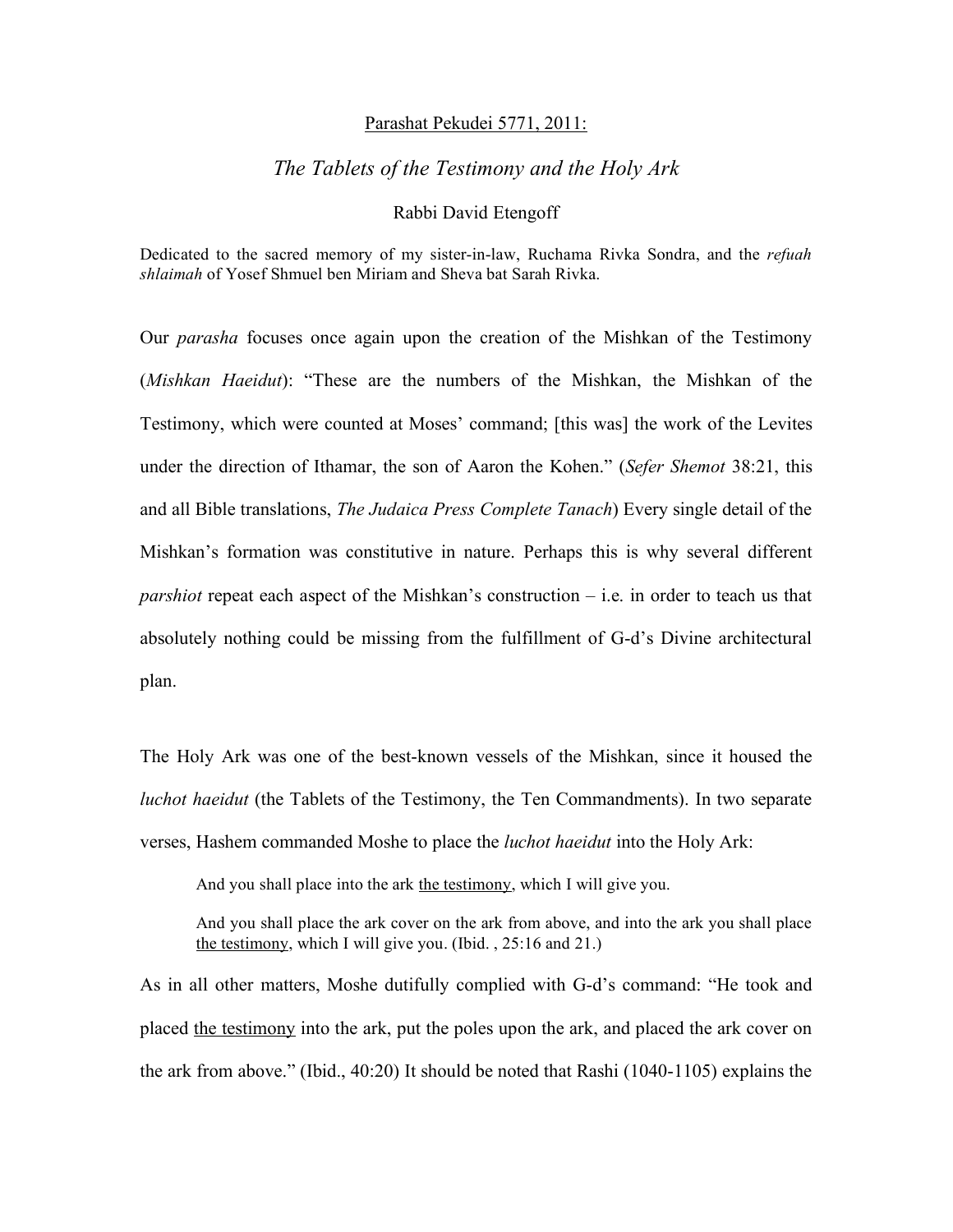#### Parashat Pekudei 5771, 2011:

## *The Tablets of the Testimony and the Holy Ark*

### Rabbi David Etengoff

Dedicated to the sacred memory of my sister-in-law, Ruchama Rivka Sondra, and the *refuah shlaimah* of Yosef Shmuel ben Miriam and Sheva bat Sarah Rivka.

Our *parasha* focuses once again upon the creation of the Mishkan of the Testimony (*Mishkan Haeidut*): "These are the numbers of the Mishkan, the Mishkan of the Testimony, which were counted at Moses' command; [this was] the work of the Levites under the direction of Ithamar, the son of Aaron the Kohen." (*Sefer Shemot* 38:21, this and all Bible translations, *The Judaica Press Complete Tanach*) Every single detail of the Mishkan's formation was constitutive in nature. Perhaps this is why several different *parshiot* repeat each aspect of the Mishkan's construction – i.e. in order to teach us that absolutely nothing could be missing from the fulfillment of G-d's Divine architectural plan.

The Holy Ark was one of the best-known vessels of the Mishkan, since it housed the *luchot haeidut* (the Tablets of the Testimony, the Ten Commandments). In two separate verses, Hashem commanded Moshe to place the *luchot haeidut* into the Holy Ark:

And you shall place into the ark the testimony, which I will give you.

And you shall place the ark cover on the ark from above, and into the ark you shall place the testimony, which I will give you. (Ibid. , 25:16 and 21.)

As in all other matters, Moshe dutifully complied with G-d's command: "He took and placed the testimony into the ark, put the poles upon the ark, and placed the ark cover on the ark from above." (Ibid., 40:20) It should be noted that Rashi (1040-1105) explains the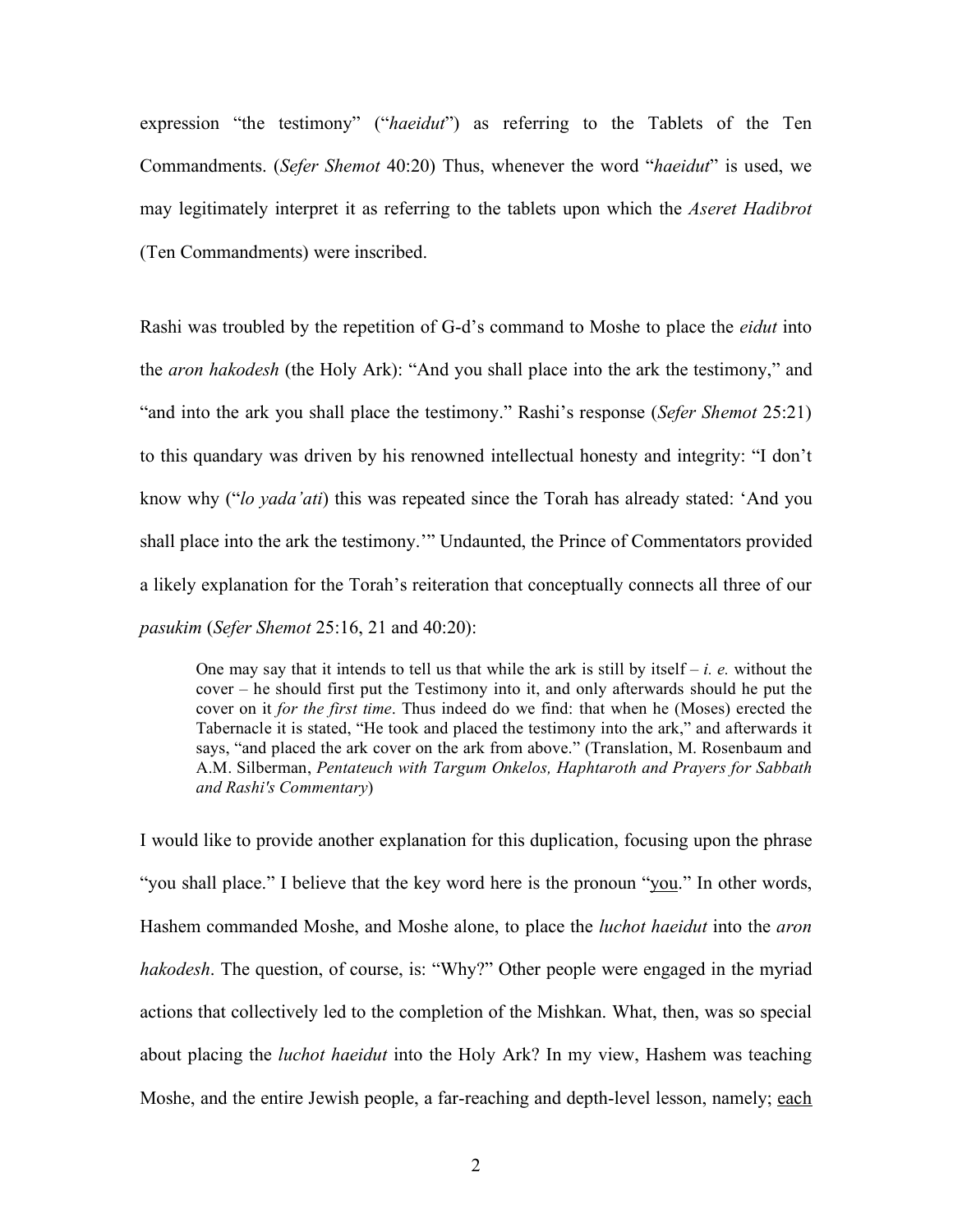expression "the testimony" ("*haeidut*") as referring to the Tablets of the Ten Commandments. (*Sefer Shemot* 40:20) Thus, whenever the word "*haeidut*" is used, we may legitimately interpret it as referring to the tablets upon which the *Aseret Hadibrot*  (Ten Commandments) were inscribed.

Rashi was troubled by the repetition of G-d's command to Moshe to place the *eidut* into the *aron hakodesh* (the Holy Ark): "And you shall place into the ark the testimony," and "and into the ark you shall place the testimony." Rashi's response (*Sefer Shemot* 25:21) to this quandary was driven by his renowned intellectual honesty and integrity: "I don't know why ("*lo yada'ati*) this was repeated since the Torah has already stated: 'And you shall place into the ark the testimony.'" Undaunted, the Prince of Commentators provided a likely explanation for the Torah's reiteration that conceptually connects all three of our *pasukim* (*Sefer Shemot* 25:16, 21 and 40:20):

One may say that it intends to tell us that while the ark is still by itself – *i. e.* without the cover – he should first put the Testimony into it, and only afterwards should he put the cover on it *for the first time*. Thus indeed do we find: that when he (Moses) erected the Tabernacle it is stated, "He took and placed the testimony into the ark," and afterwards it says, "and placed the ark cover on the ark from above." (Translation, M. Rosenbaum and A.M. Silberman, *Pentateuch with Targum Onkelos, Haphtaroth and Prayers for Sabbath and Rashi's Commentary*)

I would like to provide another explanation for this duplication, focusing upon the phrase "you shall place." I believe that the key word here is the pronoun "you." In other words, Hashem commanded Moshe, and Moshe alone, to place the *luchot haeidut* into the *aron hakodesh*. The question, of course, is: "Why?" Other people were engaged in the myriad actions that collectively led to the completion of the Mishkan. What, then, was so special about placing the *luchot haeidut* into the Holy Ark? In my view, Hashem was teaching Moshe, and the entire Jewish people, a far-reaching and depth-level lesson, namely; each